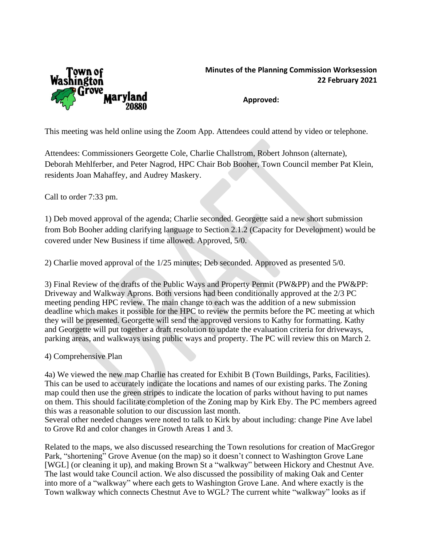

## **Minutes of the Planning Commission Worksession 22 February 2021**

**Approved:**

This meeting was held online using the Zoom App. Attendees could attend by video or telephone.

Attendees: Commissioners Georgette Cole, Charlie Challstrom, Robert Johnson (alternate), Deborah Mehlferber, and Peter Nagrod, HPC Chair Bob Booher, Town Council member Pat Klein, residents Joan Mahaffey, and Audrey Maskery.

Call to order 7:33 pm.

1) Deb moved approval of the agenda; Charlie seconded. Georgette said a new short submission from Bob Booher adding clarifying language to Section 2.1.2 (Capacity for Development) would be covered under New Business if time allowed. Approved, 5/0.

2) Charlie moved approval of the 1/25 minutes; Deb seconded. Approved as presented 5/0.

3) Final Review of the drafts of the Public Ways and Property Permit (PW&PP) and the PW&PP: Driveway and Walkway Aprons. Both versions had been conditionally approved at the 2/3 PC meeting pending HPC review. The main change to each was the addition of a new submission deadline which makes it possible for the HPC to review the permits before the PC meeting at which they will be presented. Georgette will send the approved versions to Kathy for formatting. Kathy and Georgette will put together a draft resolution to update the evaluation criteria for driveways, parking areas, and walkways using public ways and property. The PC will review this on March 2.

4) Comprehensive Plan

4a) We viewed the new map Charlie has created for Exhibit B (Town Buildings, Parks, Facilities). This can be used to accurately indicate the locations and names of our existing parks. The Zoning map could then use the green stripes to indicate the location of parks without having to put names on them. This should facilitate completion of the Zoning map by Kirk Eby. The PC members agreed this was a reasonable solution to our discussion last month.

Several other needed changes were noted to talk to Kirk by about including: change Pine Ave label to Grove Rd and color changes in Growth Areas 1 and 3.

Related to the maps, we also discussed researching the Town resolutions for creation of MacGregor Park, "shortening" Grove Avenue (on the map) so it doesn't connect to Washington Grove Lane [WGL] (or cleaning it up), and making Brown St a "walkway" between Hickory and Chestnut Ave. The last would take Council action. We also discussed the possibility of making Oak and Center into more of a "walkway" where each gets to Washington Grove Lane. And where exactly is the Town walkway which connects Chestnut Ave to WGL? The current white "walkway" looks as if